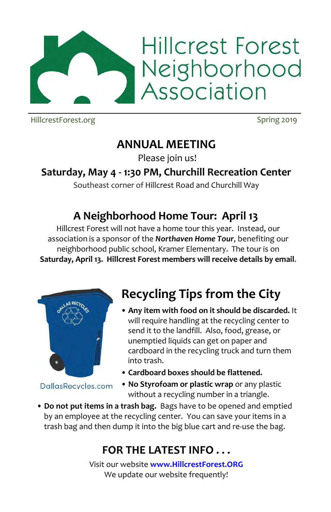

HillcrestForest.org Spring 2019

## **ANNUAL MEETING**

Please join us!

### **Saturday, May 4 - 1:30 PM, Churchill Recreation Center**

Southeast corner of Hillcrest Road and Churchill Way

## **A Neighborhood Home Tour: April 13**

Hillcrest Forest will not have a home tour this year. Instead, our association is a sponsor of the *Northaven Home Tour*, benefiting our neighborhood public school, Kramer Elementary. The tour is on **Saturday, April 13. Hillcrest Forest members will receive details by email**.



DallasRecycles.com

# **Recycling Tips from the City**

- **Any item with food on it should be discarded.** It will require handling at the recycling center to send it to the landfill. Also, food, grease, or unemptied liquids can get onpaper and cardboard in the recycling truck and turn them into trash.
- [•](https://www.google.com/url?sa=i&rct=j&q=&esrc=s&source=images&cd=&cad=rja&uact=8&ved=0ahUKEwjwndPBvdLSAhUERCYKHdHUCUMQjRwIBw&url=http://www.texasmonthly.com/articles/dallas-police-chief-david-brown-and-community-policing/&psig=AFQjCNEuHg4uGcztOMIQhzda4-FignrO2w&ust=1489460124871005) **Cardboard boxes should be flattened.**
- **No Styrofoam or plastic wrap** or any plastic without a recycling number in a triangle.
- **Do not put items in a trash bag.** Bags have to be opened and emptied by an employee at the recycling center. You can save your items in a trash bag and then dump it into the big blue cart and re-use the bag.

## **FOR THE LATEST INFO . . .**

Visit our website **www.HillcrestForest.ORG**  We update our website frequently!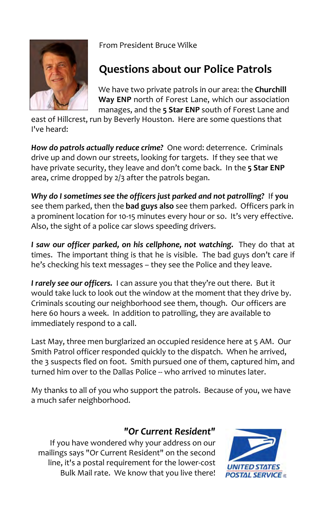

From President Bruce Wilke

### **Questions about our Police Patrols**

We have two private patrols in our area: the **Churchill Way ENP** north of Forest Lane, which our association manages, and the **5 Star ENP** south of Forest Lane and

east of Hillcrest, run by Beverly Houston. Here are some questions that I've heard:

*How do patrols actually reduce crime?* One word: deterrence. Criminals drive up and down our streets, looking for targets. If they see that we have private security, they leave and don't come back. In the **5 Star ENP** area, crime dropped by 2/3 after the patrols began.

*Why do I sometimes see the officers just parked and not patrolling?* If **you**  see them parked, then the **bad guys also** see them parked. Officers park in a prominent location for 10-15 minutes every hour or so. It's very effective. Also, the sight of a police car slows speeding drivers.

I saw our officer parked, on his cellphone, not watching. They do that at times. The important thing is that he is visible. The bad guys don't care if he's checking his text messages – they see the Police and they leave.

*I rarely see our officers.* I can assure you that they're out there. But it would take luck to look out the window at the moment that they drive by. Criminals scouting our neighborhood see them, though. Our officers are here 60 hours a week. In addition to patrolling, they are available to immediately respond to a call.

Last May, three men burglarized an occupied residence here at 5 AM. Our Smith Patrol officer responded quickly to the dispatch. When he arrived, the 3 suspects fled on foot. Smith pursued one of them, captured him, and turned him over to the Dallas Police -- who arrived 10 minutes later.

My thanks to all of you who support the patrols. Because of you, we have a much safer neighborhood.

#### *"Or Current Resident"*

If you have wondered why your address on our mailings says "Or Current Resident" on the second line, it's a postal requirement for the lower-cost Bulk Mail rate. We know that you live there!

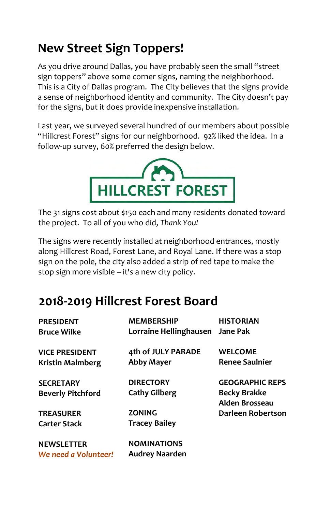# **New Street Sign Toppers!**

As you drive around Dallas, you have probably seen the small "street sign toppers" above some corner signs, naming the neighborhood. This is a City of Dallas program. The City believes that the signs provide a sense of neighborhood identity and community. The City doesn't pay for the signs, but it does provide inexpensive installation.

Last year, we surveyed several hundred of our members about possible "Hillcrest Forest" signs for our neighborhood. 92% liked the idea. In a follow-up survey, 60% preferred the design below.



The 31 signs cost about \$150 each and many residents donated toward the project. To all of you who did, *Thank You!* 

The signs were recently installed at neighborhood entrances, mostly along Hillcrest Road, Forest Lane, and Royal Lane. If there was a stop sign on the pole, the city also added a strip of red tape to make the stop sign more visible – it's a new city policy.

## **2018-2019 Hillcrest Forest Board**

| <b>PRESIDENT</b>         | <b>MEMBERSHIP</b>      | <b>HISTORIAN</b>                             |
|--------------------------|------------------------|----------------------------------------------|
| <b>Bruce Wilke</b>       | Lorraine Hellinghausen | <b>Jane Pak</b>                              |
| <b>VICE PRESIDENT</b>    | 4th of JULY PARADE     | <b>WELCOME</b>                               |
| <b>Kristin Malmberg</b>  | <b>Abby Mayer</b>      | <b>Renee Saulnier</b>                        |
| <b>SECRETARY</b>         | <b>DIRECTORY</b>       | <b>GEOGRAPHIC REPS</b>                       |
| <b>Beverly Pitchford</b> | <b>Cathy Gilberg</b>   | <b>Becky Brakke</b><br><b>Alden Brosseau</b> |
| <b>TREASURER</b>         | <b>ZONING</b>          | Darleen Robertson                            |
| <b>Carter Stack</b>      | <b>Tracey Bailey</b>   |                                              |
| <b>NEWSLETTER</b>        | <b>NOMINATIONS</b>     |                                              |
| We need a Volunteer!     | <b>Audrey Naarden</b>  |                                              |